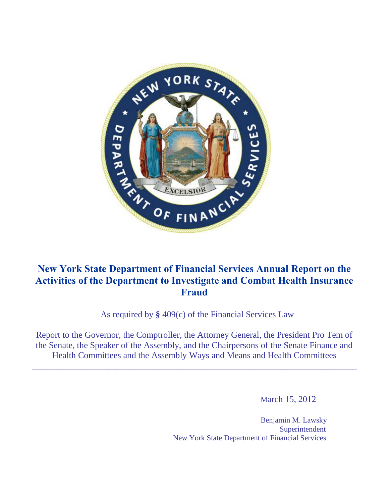

# **New York State Department of Financial Services Annual Report on the Activities of the Department to Investigate and Combat Health Insurance Fraud**

As required by **§** 409(c) of the Financial Services Law

Report to the Governor, the Comptroller, the Attorney General, the President Pro Tem of the Senate, the Speaker of the Assembly, and the Chairpersons of the Senate Finance and Health Committees and the Assembly Ways and Means and Health Committees

 $\_$  , and the set of the set of the set of the set of the set of the set of the set of the set of the set of the set of the set of the set of the set of the set of the set of the set of the set of the set of the set of th

March 15, 2012

Benjamin M. Lawsky Superintendent New York State Department of Financial Services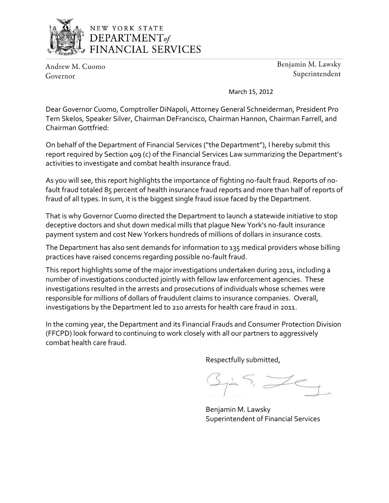

# NEW YORK STATE DEPARTMENT<sub>of</sub> FINANCIAL SERVICES

Andrew M. Cuomo Governor

Benjamin M. Lawsky Superintendent

March 15, 2012

Dear Governor Cuomo, Comptroller DiNapoli, Attorney General Schneiderman, President Pro Tem Skelos, Speaker Silver, Chairman DeFrancisco, Chairman Hannon, Chairman Farrell, and Chairman Gottfried:

On behalf of the Department of Financial Services ("the Department"), I hereby submit this report required by Section 409 (c) of the Financial Services Law summarizing the Department's activities to investigate and combat health insurance fraud.

As you will see, this report highlights the importance of fighting no-fault fraud. Reports of nofault fraud totaled 85 percent of health insurance fraud reports and more than half of reports of fraud of all types. In sum, it is the biggest single fraud issue faced by the Department.

That is why Governor Cuomo directed the Department to launch a statewide initiative to stop deceptive doctors and shut down medical mills that plague New York's no-fault insurance payment system and cost New Yorkers hundreds of millions of dollars in insurance costs.

The Department has also sent demands for information to 135 medical providers whose billing practices have raised concerns regarding possible no-fault fraud.

This report highlights some of the major investigations undertaken during 2011, including a number of investigations conducted jointly with fellow law enforcement agencies. These investigations resulted in the arrests and prosecutions of individuals whose schemes were responsible for millions of dollars of fraudulent claims to insurance companies. Overall, investigations by the Department led to 210 arrests for health care fraud in 2011.

In the coming year, the Department and its Financial Frauds and Consumer Protection Division (FFCPD) look forward to continuing to work closely with all our partners to aggressively combat health care fraud.

Respectfully submitted,

Benjamin M. Lawsky Superintendent of Financial Services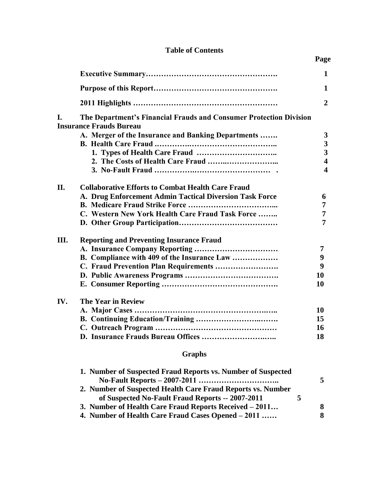|      |                                                                                                      | $\mathbf{1}$            |  |  |  |
|------|------------------------------------------------------------------------------------------------------|-------------------------|--|--|--|
|      |                                                                                                      | 1                       |  |  |  |
|      |                                                                                                      | $\overline{2}$          |  |  |  |
| I.   | The Department's Financial Frauds and Consumer Protection Division<br><b>Insurance Frauds Bureau</b> |                         |  |  |  |
|      | A. Merger of the Insurance and Banking Departments                                                   | 3                       |  |  |  |
|      |                                                                                                      | 3                       |  |  |  |
|      |                                                                                                      | 3                       |  |  |  |
|      |                                                                                                      | $\overline{\mathbf{4}}$ |  |  |  |
|      |                                                                                                      | $\overline{\mathbf{4}}$ |  |  |  |
| II.  | <b>Collaborative Efforts to Combat Health Care Fraud</b>                                             |                         |  |  |  |
|      | A. Drug Enforcement Admin Tactical Diversion Task Force                                              | 6                       |  |  |  |
|      |                                                                                                      | 7                       |  |  |  |
|      | C. Western New York Health Care Fraud Task Force                                                     | 7                       |  |  |  |
|      |                                                                                                      | 7                       |  |  |  |
| III. | <b>Reporting and Preventing Insurance Fraud</b>                                                      |                         |  |  |  |
|      |                                                                                                      | 7                       |  |  |  |
|      | B. Compliance with 409 of the Insurance Law                                                          | 9                       |  |  |  |
|      | C. Fraud Prevention Plan Requirements                                                                | 9                       |  |  |  |
|      |                                                                                                      | 10                      |  |  |  |
|      |                                                                                                      | 10                      |  |  |  |
| IV.  | <b>The Year in Review</b>                                                                            |                         |  |  |  |
|      |                                                                                                      | 10                      |  |  |  |
|      |                                                                                                      | 15                      |  |  |  |
|      |                                                                                                      | 16                      |  |  |  |
|      |                                                                                                      | 18                      |  |  |  |
|      |                                                                                                      |                         |  |  |  |

# **Table of Contents**

 **Page**

# **Graphs**

| 1. Number of Suspected Fraud Reports vs. Number of Suspected |   |
|--------------------------------------------------------------|---|
|                                                              | 5 |
| 2. Number of Suspected Health Care Fraud Reports vs. Number  |   |
| of Suspected No-Fault Fraud Reports -- 2007-2011             |   |
| 3. Number of Health Care Fraud Reports Received – 2011       | 8 |
| 4. Number of Health Care Fraud Cases Opened – 2011           | 8 |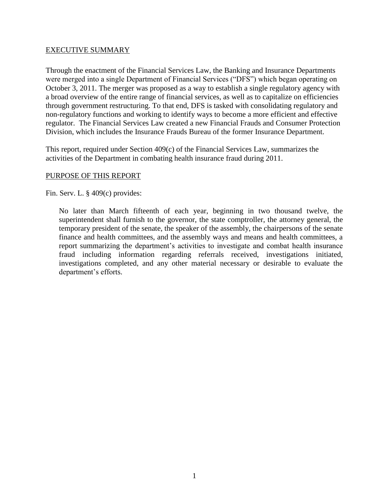## EXECUTIVE SUMMARY

Through the enactment of the Financial Services Law, the Banking and Insurance Departments were merged into a single Department of Financial Services ("DFS") which began operating on October 3, 2011. The merger was proposed as a way to establish a single regulatory agency with a broad overview of the entire range of financial services, as well as to capitalize on efficiencies through government restructuring. To that end, DFS is tasked with consolidating regulatory and non-regulatory functions and working to identify ways to become a more efficient and effective regulator. The Financial Services Law created a new Financial Frauds and Consumer Protection Division, which includes the Insurance Frauds Bureau of the former Insurance Department.

This report, required under Section 409(c) of the Financial Services Law, summarizes the activities of the Department in combating health insurance fraud during 2011.

## PURPOSE OF THIS REPORT

Fin. Serv. L. § 409(c) provides:

No later than March fifteenth of each year, beginning in two thousand twelve, the superintendent shall furnish to the governor, the state comptroller, the attorney general, the temporary president of the senate, the speaker of the assembly, the chairpersons of the senate finance and health committees, and the assembly ways and means and health committees, a report summarizing the department's activities to investigate and combat health insurance fraud including information regarding referrals received, investigations initiated, investigations completed, and any other material necessary or desirable to evaluate the department's efforts.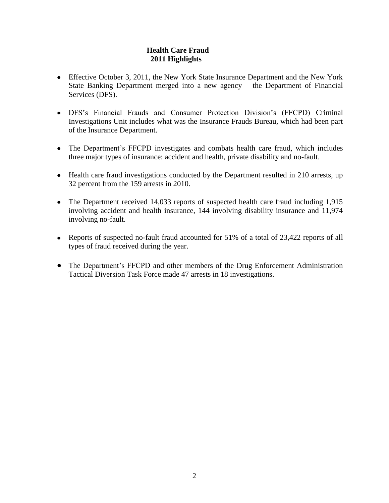# **Health Care Fraud 2011 Highlights**

- Effective October 3, 2011, the New York State Insurance Department and the New York State Banking Department merged into a new agency – the Department of Financial Services (DFS).
- DFS's Financial Frauds and Consumer Protection Division's (FFCPD) Criminal Investigations Unit includes what was the Insurance Frauds Bureau, which had been part of the Insurance Department.
- The Department's FFCPD investigates and combats health care fraud, which includes three major types of insurance: accident and health, private disability and no-fault.
- Health care fraud investigations conducted by the Department resulted in 210 arrests, up 32 percent from the 159 arrests in 2010.
- The Department received 14,033 reports of suspected health care fraud including 1,915 involving accident and health insurance, 144 involving disability insurance and 11,974 involving no-fault.
- Reports of suspected no-fault fraud accounted for 51% of a total of 23,422 reports of all types of fraud received during the year.
- The Department's FFCPD and other members of the Drug Enforcement Administration Tactical Diversion Task Force made 47 arrests in 18 investigations.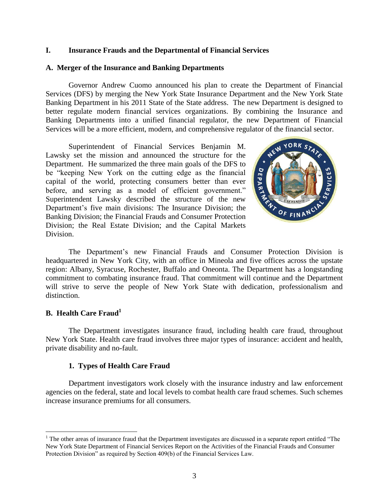## **I. Insurance Frauds and the Departmental of Financial Services**

## **A. Merger of the Insurance and Banking Departments**

Governor Andrew Cuomo announced his plan to create the Department of Financial Services (DFS) by merging the New York State Insurance Department and the New York State Banking Department in his 2011 State of the State address. The new Department is designed to better regulate modern financial services organizations. By combining the Insurance and Banking Departments into a unified financial regulator, the new Department of Financial Services will be a more efficient, modern, and comprehensive regulator of the financial sector.

Superintendent of Financial Services Benjamin M. Lawsky set the mission and announced the structure for the Department. He summarized the three main goals of the DFS to be "keeping New York on the cutting edge as the financial capital of the world, protecting consumers better than ever before, and serving as a model of efficient government." Superintendent Lawsky described the structure of the new Department's five main divisions: The Insurance Division; the Banking Division; the Financial Frauds and Consumer Protection Division; the Real Estate Division; and the Capital Markets Division.



The Department's new Financial Frauds and Consumer Protection Division is headquartered in New York City, with an office in Mineola and five offices across the upstate region: Albany, Syracuse, Rochester, Buffalo and Oneonta. The Department has a longstanding commitment to combating insurance fraud. That commitment will continue and the Department will strive to serve the people of New York State with dedication, professionalism and distinction.

## **B. Health Care Fraud<sup>1</sup>**

 $\overline{a}$ 

The Department investigates insurance fraud, including health care fraud, throughout New York State. Health care fraud involves three major types of insurance: accident and health, private disability and no-fault.

## **1. Types of Health Care Fraud**

Department investigators work closely with the insurance industry and law enforcement agencies on the federal, state and local levels to combat health care fraud schemes. Such schemes increase insurance premiums for all consumers.

 $<sup>1</sup>$  The other areas of insurance fraud that the Department investigates are discussed in a separate report entitled "The</sup> New York State Department of Financial Services Report on the Activities of the Financial Frauds and Consumer Protection Division" as required by Section 409(b) of the Financial Services Law.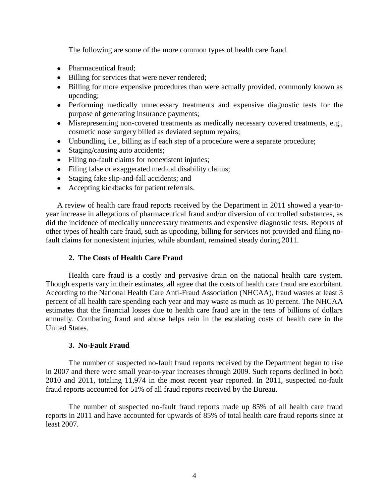The following are some of the more common types of health care fraud.

- Pharmaceutical fraud;
- Billing for services that were never rendered;
- Billing for more expensive procedures than were actually provided, commonly known as upcoding;
- Performing medically unnecessary treatments and expensive diagnostic tests for the purpose of generating insurance payments;
- Misrepresenting non-covered treatments as medically necessary covered treatments, e.g., cosmetic nose surgery billed as deviated septum repairs;
- Unbundling, i.e., billing as if each step of a procedure were a separate procedure;
- Staging/causing auto accidents;
- Filing no-fault claims for nonexistent injuries;
- Filing false or exaggerated medical disability claims;
- Staging fake slip-and-fall accidents; and
- Accepting kickbacks for patient referrals.

A review of health care fraud reports received by the Department in 2011 showed a year-toyear increase in allegations of pharmaceutical fraud and/or diversion of controlled substances, as did the incidence of medically unnecessary treatments and expensive diagnostic tests. Reports of other types of health care fraud, such as upcoding, billing for services not provided and filing nofault claims for nonexistent injuries, while abundant, remained steady during 2011.

## **2. The Costs of Health Care Fraud**

Health care fraud is a costly and pervasive drain on the national health care system. Though experts vary in their estimates, all agree that the costs of health care fraud are exorbitant. According to the National Health Care Anti-Fraud Association (NHCAA), fraud wastes at least 3 percent of all health care spending each year and may waste as much as 10 percent. The NHCAA estimates that the financial losses due to health care fraud are in the tens of billions of dollars annually. Combating fraud and abuse helps rein in the escalating costs of health care in the United States.

## **3. No-Fault Fraud**

The number of suspected no-fault fraud reports received by the Department began to rise in 2007 and there were small year-to-year increases through 2009. Such reports declined in both 2010 and 2011, totaling 11,974 in the most recent year reported. In 2011, suspected no-fault fraud reports accounted for 51% of all fraud reports received by the Bureau.

The number of suspected no-fault fraud reports made up 85% of all health care fraud reports in 2011 and have accounted for upwards of 85% of total health care fraud reports since at least 2007.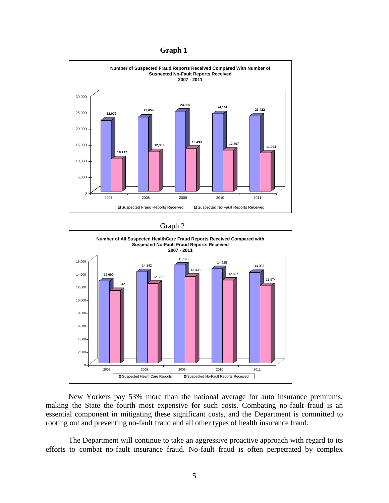



Graph 2



New Yorkers pay 53% more than the national average for auto insurance premiums, making the State the fourth most expensive for such costs. Combating no-fault fraud is an essential component in mitigating these significant costs, and the Department is committed to rooting out and preventing no-fault fraud and all other types of health insurance fraud.

The Department will continue to take an aggressive proactive approach with regard to its efforts to combat no-fault insurance fraud. No-fault fraud is often perpetrated by complex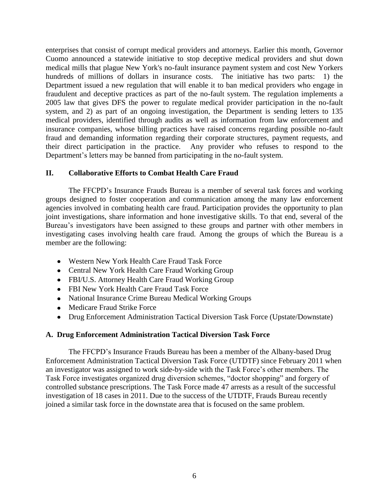enterprises that consist of corrupt medical providers and attorneys. Earlier this month, Governor Cuomo announced a statewide initiative to stop deceptive medical providers and shut down medical mills that plague New York's no-fault insurance payment system and cost New Yorkers hundreds of millions of dollars in insurance costs. The initiative has two parts: 1) the Department issued a new regulation that will enable it to ban medical providers who engage in fraudulent and deceptive practices as part of the no-fault system. The regulation implements a 2005 law that gives DFS the power to regulate medical provider participation in the no-fault system, and 2) as part of an ongoing investigation, the Department is sending letters to 135 medical providers, identified through audits as well as information from law enforcement and insurance companies, whose billing practices have raised concerns regarding possible no-fault fraud and demanding information regarding their corporate structures, payment requests, and their direct participation in the practice. Any provider who refuses to respond to the Department's letters may be banned from participating in the no-fault system.

## **II. Collaborative Efforts to Combat Health Care Fraud**

The FFCPD's Insurance Frauds Bureau is a member of several task forces and working groups designed to foster cooperation and communication among the many law enforcement agencies involved in combating health care fraud. Participation provides the opportunity to plan joint investigations, share information and hone investigative skills. To that end, several of the Bureau's investigators have been assigned to these groups and partner with other members in investigating cases involving health care fraud. Among the groups of which the Bureau is a member are the following:

- Western New York Health Care Fraud Task Force
- Central New York Health Care Fraud Working Group
- FBI/U.S. Attorney Health Care Fraud Working Group
- FBI New York Health Care Fraud Task Force
- National Insurance Crime Bureau Medical Working Groups
- Medicare Fraud Strike Force
- Drug Enforcement Administration Tactical Diversion Task Force (Upstate/Downstate)

## **A. Drug Enforcement Administration Tactical Diversion Task Force**

The FFCPD's Insurance Frauds Bureau has been a member of the Albany-based Drug Enforcement Administration Tactical Diversion Task Force (UTDTF) since February 2011 when an investigator was assigned to work side-by-side with the Task Force's other members. The Task Force investigates organized drug diversion schemes, "doctor shopping" and forgery of controlled substance prescriptions. The Task Force made 47 arrests as a result of the successful investigation of 18 cases in 2011. Due to the success of the UTDTF, Frauds Bureau recently joined a similar task force in the downstate area that is focused on the same problem.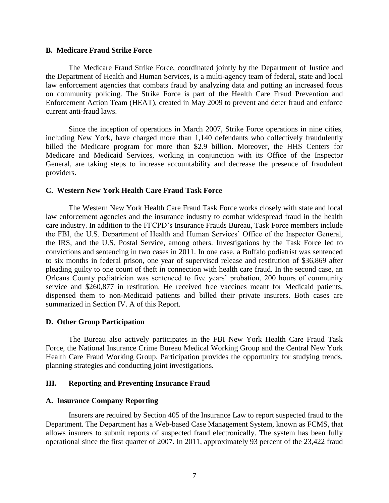#### **B. Medicare Fraud Strike Force**

The Medicare Fraud Strike Force, coordinated jointly by the Department of Justice and the Department of Health and Human Services, is a multi-agency team of federal, state and local law enforcement agencies that combats fraud by analyzing data and putting an increased focus on community policing. The Strike Force is part of the Health Care Fraud Prevention and Enforcement Action Team (HEAT), created in May 2009 to prevent and deter fraud and enforce current anti-fraud laws.

Since the inception of operations in March 2007, Strike Force operations in nine cities, including New York, have charged more than 1,140 defendants who collectively fraudulently billed the Medicare program for more than \$2.9 billion. Moreover, the HHS Centers for Medicare and Medicaid Services, working in conjunction with its Office of the Inspector General, are taking steps to increase accountability and decrease the presence of fraudulent providers.

#### **C. Western New York Health Care Fraud Task Force**

The Western New York Health Care Fraud Task Force works closely with state and local law enforcement agencies and the insurance industry to combat widespread fraud in the health care industry. In addition to the FFCPD's Insurance Frauds Bureau, Task Force members include the FBI, the U.S. Department of Health and Human Services' Office of the Inspector General, the IRS, and the U.S. Postal Service, among others. Investigations by the Task Force led to convictions and sentencing in two cases in 2011. In one case, a Buffalo podiatrist was sentenced to six months in federal prison, one year of supervised release and restitution of \$36,869 after pleading guilty to one count of theft in connection with health care fraud. In the second case, an Orleans County pediatrician was sentenced to five years' probation, 200 hours of community service and \$260,877 in restitution. He received free vaccines meant for Medicaid patients, dispensed them to non-Medicaid patients and billed their private insurers. Both cases are summarized in Section IV. A of this Report.

#### **D. Other Group Participation**

The Bureau also actively participates in the FBI New York Health Care Fraud Task Force, the National Insurance Crime Bureau Medical Working Group and the Central New York Health Care Fraud Working Group. Participation provides the opportunity for studying trends, planning strategies and conducting joint investigations.

#### **III. Reporting and Preventing Insurance Fraud**

#### **A. Insurance Company Reporting**

Insurers are required by Section 405 of the Insurance Law to report suspected fraud to the Department. The Department has a Web-based Case Management System, known as FCMS, that allows insurers to submit reports of suspected fraud electronically. The system has been fully operational since the first quarter of 2007. In 2011, approximately 93 percent of the 23,422 fraud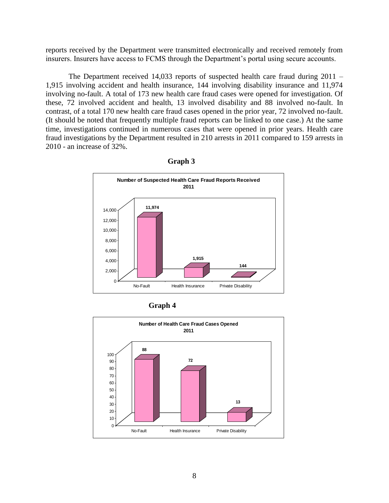reports received by the Department were transmitted electronically and received remotely from insurers. Insurers have access to FCMS through the Department's portal using secure accounts.

The Department received 14,033 reports of suspected health care fraud during 2011 – 1,915 involving accident and health insurance, 144 involving disability insurance and 11,974 involving no-fault. A total of 173 new health care fraud cases were opened for investigation. Of these, 72 involved accident and health, 13 involved disability and 88 involved no-fault. In contrast, of a total 170 new health care fraud cases opened in the prior year, 72 involved no-fault. (It should be noted that frequently multiple fraud reports can be linked to one case.) At the same time, investigations continued in numerous cases that were opened in prior years. Health care fraud investigations by the Department resulted in 210 arrests in 2011 compared to 159 arrests in 2010 - an increase of 32%.





 **Graph 4**

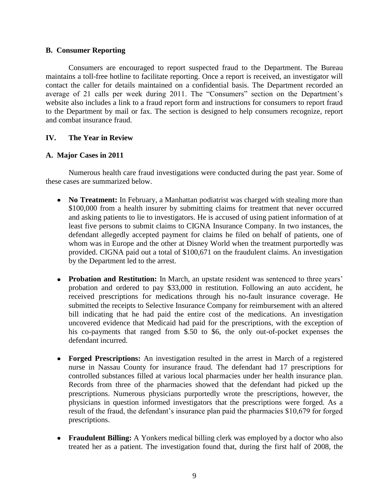## **B. Consumer Reporting**

Consumers are encouraged to report suspected fraud to the Department. The Bureau maintains a toll-free hotline to facilitate reporting. Once a report is received, an investigator will contact the caller for details maintained on a confidential basis. The Department recorded an average of 21 calls per week during 2011. The "Consumers" section on the Department's website also includes a link to a fraud report form and instructions for consumers to report fraud to the Department by mail or fax. The section is designed to help consumers recognize, report and combat insurance fraud.

## **IV. The Year in Review**

## **A. Major Cases in 2011**

Numerous health care fraud investigations were conducted during the past year. Some of these cases are summarized below.

- No **Treatment:** In February, a Manhattan podiatrist was charged with stealing more than \$100,000 from a health insurer by submitting claims for treatment that never occurred and asking patients to lie to investigators. He is accused of using patient information of at least five persons to submit claims to CIGNA Insurance Company. In two instances, the defendant allegedly accepted payment for claims he filed on behalf of patients, one of whom was in Europe and the other at Disney World when the treatment purportedly was provided. CIGNA paid out a total of \$100,671 on the fraudulent claims. An investigation by the Department led to the arrest.
- **Probation and Restitution:** In March, an upstate resident was sentenced to three years' probation and ordered to pay \$33,000 in restitution. Following an auto accident, he received prescriptions for medications through his no-fault insurance coverage. He submitted the receipts to Selective Insurance Company for reimbursement with an altered bill indicating that he had paid the entire cost of the medications. An investigation uncovered evidence that Medicaid had paid for the prescriptions, with the exception of his co-payments that ranged from \$.50 to \$6, the only out-of-pocket expenses the defendant incurred.
- **Forged Prescriptions:** An investigation resulted in the arrest in March of a registered nurse in Nassau County for insurance fraud. The defendant had 17 prescriptions for controlled substances filled at various local pharmacies under her health insurance plan. Records from three of the pharmacies showed that the defendant had picked up the prescriptions. Numerous physicians purportedly wrote the prescriptions, however, the physicians in question informed investigators that the prescriptions were forged. As a result of the fraud, the defendant's insurance plan paid the pharmacies \$10,679 for forged prescriptions.
- Fraudulent Billing: A Yonkers medical billing clerk was employed by a doctor who also treated her as a patient. The investigation found that, during the first half of 2008, the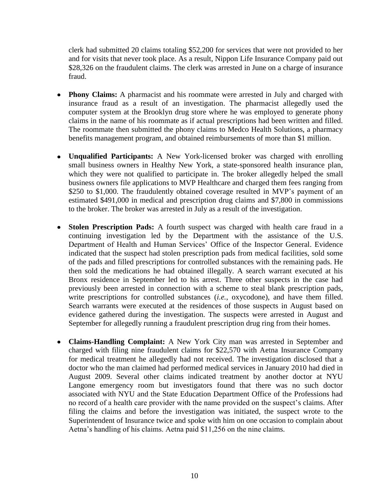clerk had submitted 20 claims totaling \$52,200 for services that were not provided to her and for visits that never took place. As a result, Nippon Life Insurance Company paid out \$28,326 on the fraudulent claims. The clerk was arrested in June on a charge of insurance fraud.

- **Phony Claims:** A pharmacist and his roommate were arrested in July and charged with insurance fraud as a result of an investigation. The pharmacist allegedly used the computer system at the Brooklyn drug store where he was employed to generate phony claims in the name of his roommate as if actual prescriptions had been written and filled. The roommate then submitted the phony claims to Medco Health Solutions, a pharmacy benefits management program, and obtained reimbursements of more than \$1 million.
- **Unqualified Participants:** A New York-licensed broker was charged with enrolling small business owners in Healthy New York, a state-sponsored health insurance plan, which they were not qualified to participate in. The broker allegedly helped the small business owners file applications to MVP Healthcare and charged them fees ranging from \$250 to \$1,000. The fraudulently obtained coverage resulted in MVP's payment of an estimated \$491,000 in medical and prescription drug claims and \$7,800 in commissions to the broker. The broker was arrested in July as a result of the investigation.
- **Stolen Prescription Pads:** A fourth suspect was charged with health care fraud in a  $\bullet$ continuing investigation led by the Department with the assistance of the U.S. Department of Health and Human Services' Office of the Inspector General. Evidence indicated that the suspect had stolen prescription pads from medical facilities, sold some of the pads and filled prescriptions for controlled substances with the remaining pads. He then sold the medications he had obtained illegally. A search warrant executed at his Bronx residence in September led to his arrest. Three other suspects in the case had previously been arrested in connection with a scheme to steal blank prescription pads, write prescriptions for controlled substances (*i.e.*, oxycodone), and have them filled. Search warrants were executed at the residences of those suspects in August based on evidence gathered during the investigation. The suspects were arrested in August and September for allegedly running a fraudulent prescription drug ring from their homes.
- **Claims-Handling Complaint:** A New York City man was arrested in September and charged with filing nine fraudulent claims for \$22,570 with Aetna Insurance Company for medical treatment he allegedly had not received. The investigation disclosed that a doctor who the man claimed had performed medical services in January 2010 had died in August 2009. Several other claims indicated treatment by another doctor at NYU Langone emergency room but investigators found that there was no such doctor associated with NYU and the State Education Department Office of the Professions had no record of a health care provider with the name provided on the suspect's claims. After filing the claims and before the investigation was initiated, the suspect wrote to the Superintendent of Insurance twice and spoke with him on one occasion to complain about Aetna's handling of his claims. Aetna paid \$11,256 on the nine claims.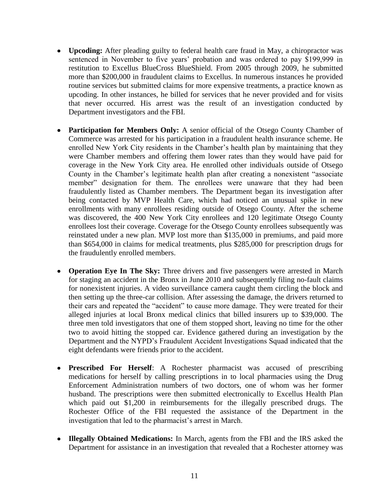- **Upcoding:** After pleading guilty to federal health care fraud in May, a chiropractor was sentenced in November to five years' probation and was ordered to pay \$199,999 in restitution to Excellus BlueCross BlueShield. From 2005 through 2009, he submitted more than \$200,000 in fraudulent claims to Excellus. In numerous instances he provided routine services but submitted claims for more expensive treatments, a practice known as upcoding. In other instances, he billed for services that he never provided and for visits that never occurred. His arrest was the result of an investigation conducted by Department investigators and the FBI.
- **Participation for Members Only:** A senior official of the Otsego County Chamber of Commerce was arrested for his participation in a fraudulent health insurance scheme. He enrolled New York City residents in the Chamber's health plan by maintaining that they were Chamber members and offering them lower rates than they would have paid for coverage in the New York City area. He enrolled other individuals outside of Otsego County in the Chamber's legitimate health plan after creating a nonexistent "associate member" designation for them. The enrollees were unaware that they had been fraudulently listed as Chamber members. The Department began its investigation after being contacted by MVP Health Care, which had noticed an unusual spike in new enrollments with many enrollees residing outside of Otsego County. After the scheme was discovered, the 400 New York City enrollees and 120 legitimate Otsego County enrollees lost their coverage. Coverage for the Otsego County enrollees subsequently was reinstated under a new plan. MVP lost more than \$135,000 in premiums, and paid more than \$654,000 in claims for medical treatments, plus \$285,000 for prescription drugs for the fraudulently enrolled members.
- **Operation Eye In The Sky:** Three drivers and five passengers were arrested in March for staging an accident in the Bronx in June 2010 and subsequently filing no-fault claims for nonexistent injuries. A video surveillance camera caught them circling the block and then setting up the three-car collision. After assessing the damage, the drivers returned to their cars and repeated the "accident" to cause more damage. They were treated for their alleged injuries at local Bronx medical clinics that billed insurers up to \$39,000. The three men told investigators that one of them stopped short, leaving no time for the other two to avoid hitting the stopped car. Evidence gathered during an investigation by the Department and the NYPD's Fraudulent Accident Investigations Squad indicated that the eight defendants were friends prior to the accident.
- **Prescribed For Herself**: A Rochester pharmacist was accused of prescribing medications for herself by calling prescriptions in to local pharmacies using the Drug Enforcement Administration numbers of two doctors, one of whom was her former husband. The prescriptions were then submitted electronically to Excellus Health Plan which paid out \$1,200 in reimbursements for the illegally prescribed drugs. The Rochester Office of the FBI requested the assistance of the Department in the investigation that led to the pharmacist's arrest in March.
- **Illegally Obtained Medications:** In March, agents from the FBI and the IRS asked the Department for assistance in an investigation that revealed that a Rochester attorney was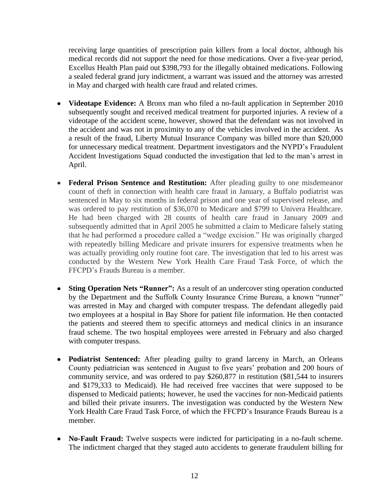receiving large quantities of prescription pain killers from a local doctor, although his medical records did not support the need for those medications. Over a five-year period, Excellus Health Plan paid out \$398,793 for the illegally obtained medications. Following a sealed federal grand jury indictment, a warrant was issued and the attorney was arrested in May and charged with health care fraud and related crimes.

- **Videotape Evidence:** A Bronx man who filed a no-fault application in September 2010 subsequently sought and received medical treatment for purported injuries. A review of a videotape of the accident scene, however, showed that the defendant was not involved in the accident and was not in proximity to any of the vehicles involved in the accident. As a result of the fraud, Liberty Mutual Insurance Company was billed more than \$20,000 for unnecessary medical treatment. Department investigators and the NYPD's Fraudulent Accident Investigations Squad conducted the investigation that led to the man's arrest in April.
- **Federal Prison Sentence and Restitution:** After pleading guilty to one misdemeanor count of theft in connection with health care fraud in January, a Buffalo podiatrist was sentenced in May to six months in federal prison and one year of supervised release, and was ordered to pay restitution of \$36,070 to Medicare and \$799 to Univera Healthcare. He had been charged with 28 counts of health care fraud in January 2009 and subsequently admitted that in April 2005 he submitted a claim to Medicare falsely stating that he had performed a procedure called a "wedge excision." He was originally charged with repeatedly billing Medicare and private insurers for expensive treatments when he was actually providing only routine foot care. The investigation that led to his arrest was conducted by the Western New York Health Care Fraud Task Force, of which the FFCPD's Frauds Bureau is a member.
- **Sting Operation Nets "Runner":** As a result of an undercover sting operation conducted by the Department and the Suffolk County Insurance Crime Bureau, a known "runner" was arrested in May and charged with computer trespass. The defendant allegedly paid two employees at a hospital in Bay Shore for patient file information. He then contacted the patients and steered them to specific attorneys and medical clinics in an insurance fraud scheme. The two hospital employees were arrested in February and also charged with computer trespass.
- **Podiatrist Sentenced:** After pleading guilty to grand larceny in March, an Orleans County pediatrician was sentenced in August to five years' probation and 200 hours of community service, and was ordered to pay \$260,877 in restitution (\$81,544 to insurers and \$179,333 to Medicaid). He had received free vaccines that were supposed to be dispensed to Medicaid patients; however, he used the vaccines for non-Medicaid patients and billed their private insurers. The investigation was conducted by the Western New York Health Care Fraud Task Force, of which the FFCPD's Insurance Frauds Bureau is a member.
- **No-Fault Fraud:** Twelve suspects were indicted for participating in a no-fault scheme. The indictment charged that they staged auto accidents to generate fraudulent billing for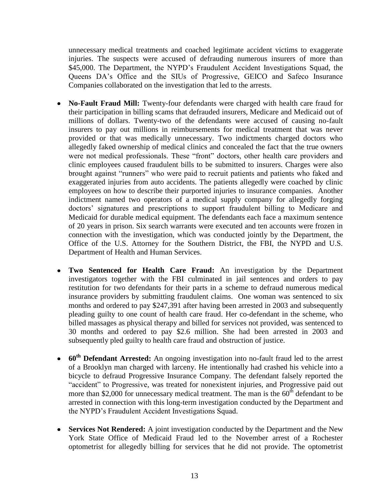unnecessary medical treatments and coached legitimate accident victims to exaggerate injuries. The suspects were accused of defrauding numerous insurers of more than \$45,000. The Department, the NYPD's Fraudulent Accident Investigations Squad, the Queens DA's Office and the SIUs of Progressive, GEICO and Safeco Insurance Companies collaborated on the investigation that led to the arrests.

- **No-Fault Fraud Mill:** Twenty-four defendants were charged with health care fraud for their participation in billing scams that defrauded insurers, Medicare and Medicaid out of millions of dollars. Twenty-two of the defendants were accused of causing no-fault insurers to pay out millions in reimbursements for medical treatment that was never provided or that was medically unnecessary. Two indictments charged doctors who allegedly faked ownership of medical clinics and concealed the fact that the true owners were not medical professionals. These "front" doctors, other health care providers and clinic employees caused fraudulent bills to be submitted to insurers. Charges were also brought against "runners" who were paid to recruit patients and patients who faked and exaggerated injuries from auto accidents. The patients allegedly were coached by clinic employees on how to describe their purported injuries to insurance companies. Another indictment named two operators of a medical supply company for allegedly forging doctors' signatures and prescriptions to support fraudulent billing to Medicare and Medicaid for durable medical equipment. The defendants each face a maximum sentence of 20 years in prison. Six search warrants were executed and ten accounts were frozen in connection with the investigation, which was conducted jointly by the Department, the Office of the U.S. Attorney for the Southern District, the FBI, the NYPD and U.S. Department of Health and Human Services.
- **Two Sentenced for Health Care Fraud:** An investigation by the Department investigators together with the FBI culminated in jail sentences and orders to pay restitution for two defendants for their parts in a scheme to defraud numerous medical insurance providers by submitting fraudulent claims. One woman was sentenced to six months and ordered to pay \$247,391 after having been arrested in 2003 and subsequently pleading guilty to one count of health care fraud. Her co-defendant in the scheme, who billed massages as physical therapy and billed for services not provided, was sentenced to 30 months and ordered to pay \$2.6 million. She had been arrested in 2003 and subsequently pled guilty to health care fraud and obstruction of justice.
- **60th Defendant Arrested:** An ongoing investigation into no-fault fraud led to the arrest of a Brooklyn man charged with larceny. He intentionally had crashed his vehicle into a bicycle to defraud Progressive Insurance Company. The defendant falsely reported the "accident" to Progressive, was treated for nonexistent injuries, and Progressive paid out more than \$2,000 for unnecessary medical treatment. The man is the  $60<sup>th</sup>$  defendant to be arrested in connection with this long-term investigation conducted by the Department and the NYPD's Fraudulent Accident Investigations Squad.
- **Services Not Rendered:** A joint investigation conducted by the Department and the New York State Office of Medicaid Fraud led to the November arrest of a Rochester optometrist for allegedly billing for services that he did not provide. The optometrist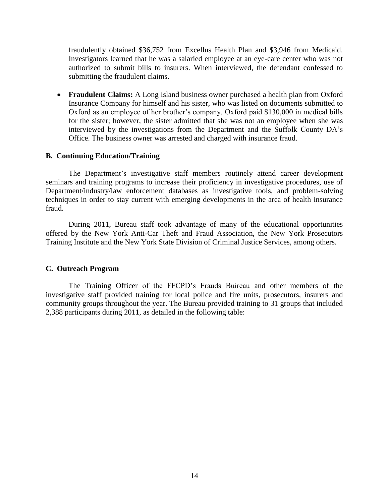fraudulently obtained \$36,752 from Excellus Health Plan and \$3,946 from Medicaid. Investigators learned that he was a salaried employee at an eye-care center who was not authorized to submit bills to insurers. When interviewed, the defendant confessed to submitting the fraudulent claims.

**Fraudulent Claims:** A Long Island business owner purchased a health plan from Oxford Insurance Company for himself and his sister, who was listed on documents submitted to Oxford as an employee of her brother's company. Oxford paid \$130,000 in medical bills for the sister; however, the sister admitted that she was not an employee when she was interviewed by the investigations from the Department and the Suffolk County DA's Office. The business owner was arrested and charged with insurance fraud.

## **B. Continuing Education/Training**

The Department's investigative staff members routinely attend career development seminars and training programs to increase their proficiency in investigative procedures, use of Department/industry/law enforcement databases as investigative tools, and problem-solving techniques in order to stay current with emerging developments in the area of health insurance fraud.

During 2011, Bureau staff took advantage of many of the educational opportunities offered by the New York Anti-Car Theft and Fraud Association, the New York Prosecutors Training Institute and the New York State Division of Criminal Justice Services, among others.

## **C. Outreach Program**

The Training Officer of the FFCPD's Frauds Buireau and other members of the investigative staff provided training for local police and fire units, prosecutors, insurers and community groups throughout the year. The Bureau provided training to 31 groups that included 2,388 participants during 2011, as detailed in the following table: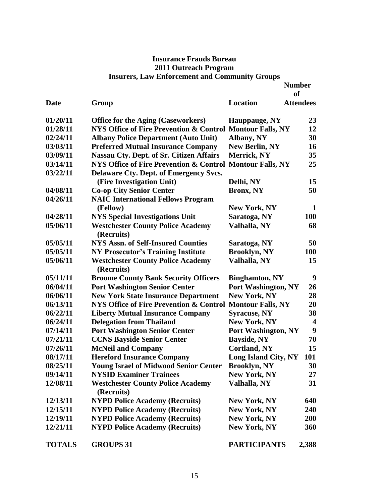# **Insurance Frauds Bureau 2011 Outreach Program Insurers, Law Enforcement and Community Groups**

|               |                                                           |                            | <b>Number</b><br><b>of</b> |
|---------------|-----------------------------------------------------------|----------------------------|----------------------------|
| <b>Date</b>   | Group                                                     | Location                   | <b>Attendees</b>           |
| 01/20/11      | <b>Office for the Aging (Caseworkers)</b>                 | Hauppauge, NY              | 23                         |
| 01/28/11      | NYS Office of Fire Prevention & Control Montour Falls, NY |                            | 12                         |
| 02/24/11      | <b>Albany Police Department (Auto Unit)</b>               | Albany, NY                 | 30                         |
| 03/03/11      | <b>Preferred Mutual Insurance Company</b>                 | <b>New Berlin, NY</b>      | <b>16</b>                  |
| 03/09/11      | <b>Nassau Cty. Dept. of Sr. Citizen Affairs</b>           | Merrick, NY                | 35                         |
| 03/14/11      | NYS Office of Fire Prevention & Control Montour Falls, NY |                            | 25                         |
| 03/22/11      | Delaware Cty. Dept. of Emergency Svcs.                    |                            |                            |
|               | (Fire Investigation Unit)                                 | Delhi, NY                  | 15                         |
| 04/08/11      | <b>Co-op City Senior Center</b>                           | <b>Bronx, NY</b>           | 50                         |
| 04/26/11      | <b>NAIC International Fellows Program</b>                 |                            |                            |
|               | (Fellow)                                                  | <b>New York, NY</b>        | 1                          |
| 04/28/11      | <b>NYS Special Investigations Unit</b>                    | Saratoga, NY               | <b>100</b>                 |
| 05/06/11      | <b>Westchester County Police Academy</b><br>(Recruits)    | Valhalla, NY               | 68                         |
| 05/05/11      | <b>NYS Assn. of Self-Insured Counties</b>                 | Saratoga, NY               | 50                         |
| 05/05/11      | <b>NY Prosecutor's Training Institute</b>                 | <b>Brooklyn, NY</b>        | <b>100</b>                 |
| 05/06/11      | <b>Westchester County Police Academy</b><br>(Recruits)    | Valhalla, NY               | 15                         |
| 05/11/11      | <b>Broome County Bank Security Officers</b>               | <b>Binghamton, NY</b>      | 9                          |
| 06/04/11      | <b>Port Washington Senior Center</b>                      | Port Washington, NY        | 26                         |
| 06/06/11      | <b>New York State Insurance Department</b>                | <b>New York, NY</b>        | 28                         |
| 06/13/11      | NYS Office of Fire Prevention & Control Montour Falls, NY |                            | 20                         |
| 06/22/11      | <b>Liberty Mutual Insurance Company</b>                   | <b>Syracuse, NY</b>        | 38                         |
| 06/24/11      | <b>Delegation from Thailand</b>                           | <b>New York, NY</b>        | 4                          |
| 07/14/11      | <b>Port Washington Senior Center</b>                      | <b>Port Washington, NY</b> | 9                          |
| 07/21/11      | <b>CCNS Bayside Senior Center</b>                         | <b>Bayside, NY</b>         | 70                         |
| 07/26/11      | <b>McNeil and Company</b>                                 | <b>Cortland, NY</b>        | 15                         |
| 08/17/11      | <b>Hereford Insurance Company</b>                         | Long Island City, NY       | 101                        |
| 08/25/11      | <b>Young Israel of Midwood Senior Center</b>              | <b>Brooklyn, NY</b>        | 30                         |
| 09/14/11      | <b>NYSID Examiner Trainees</b>                            | New York, NY               | 27                         |
| 12/08/11      | <b>Westchester County Police Academy</b><br>(Recruits)    | Valhalla, NY               | 31                         |
| 12/13/11      | <b>NYPD Police Academy (Recruits)</b>                     | New York, NY               | 640                        |
| 12/15/11      | <b>NYPD Police Academy (Recruits)</b>                     | New York, NY               | 240                        |
| 12/19/11      | <b>NYPD Police Academy (Recruits)</b>                     | <b>New York, NY</b>        | <b>200</b>                 |
| 12/21/11      | <b>NYPD Police Academy (Recruits)</b>                     | New York, NY               | 360                        |
| <b>TOTALS</b> | <b>GROUPS 31</b>                                          | <b>PARTICIPANTS</b>        | 2,388                      |